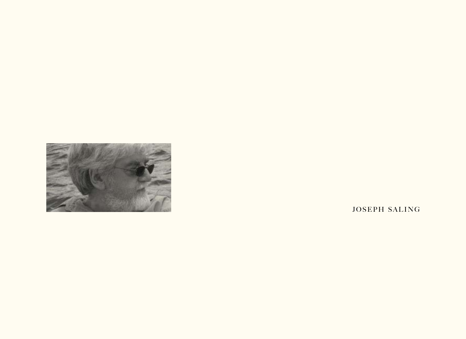

JOSEPH SALING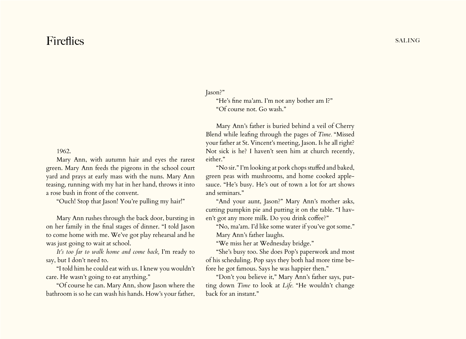## Fireflies saling

1962.

Mary Ann, with autumn hair and eyes the rarest green. Mary Ann feeds the pigeons in the school court yard and prays at early mass with the nuns. Mary Ann teasing, running with my hat in her hand, throws it into a rose bush in front of the convent.

"Ouch! Stop that Jason! You're pulling my hair!"

Mary Ann rushes through the back door, bursting in on her family in the final stages of dinner. "I told Jason to come home with me. We've got play rehearsal and he was just going to wait at school.

*It's too far to walk home and come back,* I'm ready to say, but I don't need to.

"I told him he could eat with us. I knew you wouldn't care. He wasn't going to eat anything."

"Of course he can. Mary Ann, show Jason where the bathroom is so he can wash his hands. How's your father, Jason?"

"He's fine ma'am. I'm not any bother am I?" "Of course not. Go wash."

Mary Ann's father is buried behind a veil of Cherry Blend while leafing through the pages of *Time.* "Missed your father at St. Vincent's meeting, Jason. Is he all right? Not sick is he? I haven't seen him at church recently, either."

"No sir." I'm looking at pork chops stuffed and baked, green peas with mushrooms, and home cooked applesauce. "He's busy. He's out of town a lot for art shows and seminars."

"And your aunt, Jason?" Mary Ann's mother asks, cutting pumpkin pie and putting it on the table. "I haven't got any more milk. Do you drink coffee?"

"No, ma'am. I'd like some water if you've got some." Mary Ann's father laughs.

"We miss her at Wednesday bridge."

"She's busy too. She does Pop's paperwork and most of his scheduling. Pop says they both had more time before he got famous. Says he was happier then."

"Don't you believe it," Mary Ann's father says, putting down *Time* to look at *Life.* "He wouldn't change back for an instant."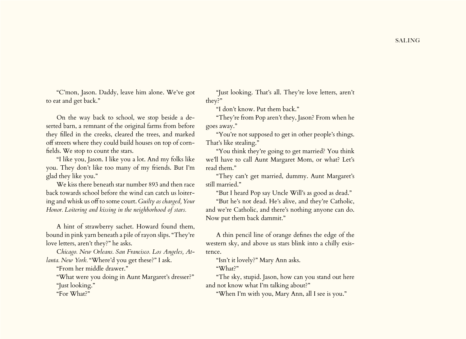"C'mon, Jason. Daddy, leave him alone. We've got to eat and get back."

On the way back to school, we stop beside a deserted barn, a remnant of the original farms from before they filled in the creeks, cleared the trees, and marked off streets where they could build houses on top of cornfields. We stop to count the stars.

"I like you, Jason. I like you a lot. And my folks like you. They don't like too many of my friends. But I'm glad they like you."

We kiss there beneath star number 893 and then race back towards school before the wind can catch us loitering and whisk us off to some court. *Guilty as charged, Your Honor. Loitering and kissing in the neighborhood of stars.*

A hint of strawberry sachet. Howard found them, bound in pink yarn beneath a pile of rayon slips. "They're love letters, aren't they?" he asks.

C*hicago. New Orleans. San Francisco. Los Angeles, Atlanta. New York.* "Where'd you get these?" I ask.

"From her middle drawer."

"What were you doing in Aunt Margaret's dresser?" "Just looking."

"For What?"

"Just looking. That's all. They're love letters, aren't they?"

"I don't know. Put them back."

"They're from Pop aren't they, Jason? From when he goes away."

"You're not supposed to get in other people's things. That's like stealing."

"You think they're going to get married? You think we'll have to call Aunt Margaret Mom, or what? Let's read them."

"They can't get married, dummy. Aunt Margaret's still married."

"But I heard Pop say Uncle Will's as good as dead."

"But he's not dead. He's alive, and they're Catholic, and we're Catholic, and there's nothing anyone can do. Now put them back dammit."

A thin pencil line of orange defines the edge of the western sky, and above us stars blink into a chilly existence.

"Isn't it lovely?" Mary Ann asks.

"What?"

"The sky, stupid. Jason, how can you stand out here and not know what I'm talking about?"

"When I'm with you, Mary Ann, all I see is you."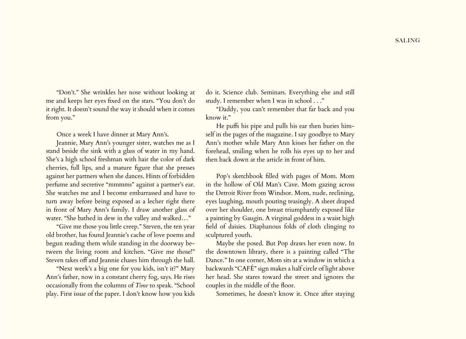"Don't." She wrinkles her nose without looking at me and keeps her eyes fixed on the stars. "You don't do it right. It doesn't sound the way it should when it comes from you."

Once a week I have dinner at Mary Ann's.

Jeannie, Mary Ann's younger sister, watches me as I stand beside the sink with a glass of water in my hand. She's a high school freshman with hair the color of dark cherries, full lips, and a mature figure that she presses against her partners when she dances. Hints of forbidden perfume and secretive "mmmms" against a partner's ear. She watches me and I become embarrassed and have to turn away before being exposed as a lecher right there in front of Mary Ann's family. I draw another glass of water. "She bathed in dew in the valley and walked…"

"Give me those you little creep." Steven, the ten year old brother, has found Jeannie's cache of love poems and begun reading them while standing in the doorway between the living room and kitchen. "Give me those!" Steven takes off and Jeannie chases him through the hall.

"Next week's a big one for you kids, isn't it?" Mary Ann's father, now in a constant cherry fog, says. He rises occasionally from the columns of *Time* to speak. "School play. First issue of the paper. I don't know how you kids

do it. Science club. Seminars. Everything else and still study. I remember when I was in school . . ."

"Daddy, you can't remember that far back and you know it."

He puffs his pipe and pulls his ear then buries himself in the pages of the magazine. I say goodbye to Mary Ann's mother while Mary Ann kisses her father on the forehead, smiling when he rolls his eyes up to her and then back down at the article in front of him.

Pop's sketchbook filled with pages of Mom. Mom in the hollow of Old Man's Cave. Mom gazing across the Detroit River from Windsor. Mom, nude, reclining, eyes laughing, mouth pouting teasingly. A sheet draped over her shoulder, one breast triumphantly exposed like a painting by Gaugin. A virginal goddess in a waist high field of daisies. Diaphanous folds of cloth clinging to sculptured youth.

Maybe she posed. But Pop draws her even now. In the downtown library, there is a painting called "The Dance." In one corner, Mom sits at a window in which a backwards "CAFÉ" sign makes a half circle of light above her head. She stares toward the street and ignores the couples in the middle of the floor.

Sometimes, he doesn't know it. Once after staying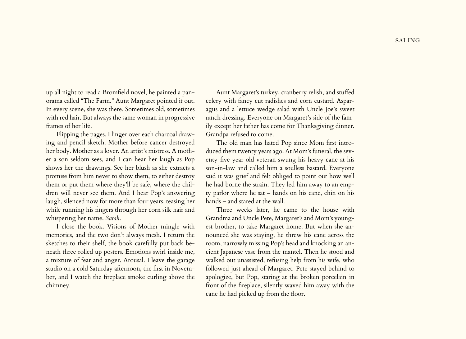up all night to read a Bromfield novel, he painted a panorama called "The Farm." Aunt Margaret pointed it out. In every scene, she was there. Sometimes old, sometimes with red hair. But always the same woman in progressive frames of her life.

Flipping the pages, I linger over each charcoal drawing and pencil sketch. Mother before cancer destroyed her body. Mother as a lover. An artist's mistress. A mother a son seldom sees, and I can hear her laugh as Pop shows her the drawings. See her blush as she extracts a promise from him never to show them, to either destroy them or put them where they'll be safe, where the children will never see them. And I hear Pop's answering laugh, silenced now for more than four years, teasing her while running his fingers through her corn silk hair and whispering her name. *Sarah*.

I close the book. Visions of Mother mingle with memories, and the two don't always mesh. I return the sketches to their shelf, the book carefully put back beneath three rolled up posters. Emotions swirl inside me, a mixture of fear and anger. Arousal. I leave the garage studio on a cold Saturday afternoon, the first in November, and I watch the fireplace smoke curling above the chimney.

Aunt Margaret's turkey, cranberry relish, and stuffed celery with fancy cut radishes and corn custard. Asparagus and a lettuce wedge salad with Uncle Joe's sweet ranch dressing. Everyone on Margaret's side of the family except her father has come for Thanksgiving dinner. Grandpa refused to come.

The old man has hated Pop since Mom first introduced them twenty years ago. At Mom's funeral, the seventy-five year old veteran swung his heavy cane at his son-in-law and called him a soulless bastard. Everyone said it was grief and felt obliged to point out how well he had borne the strain. They led him away to an empty parlor where he sat – hands on his cane, chin on his hands – and stared at the wall.

Three weeks later, he came to the house with Grandma and Uncle Pete, Margaret's and Mom's youngest brother, to take Margaret home. But when she announced she was staying, he threw his cane across the room, narrowly missing Pop's head and knocking an ancient Japanese vase from the mantel. Then he stood and walked out unassisted, refusing help from his wife, who followed just ahead of Margaret. Pete stayed behind to apologize, but Pop, staring at the broken porcelain in front of the fireplace, silently waved him away with the cane he had picked up from the floor.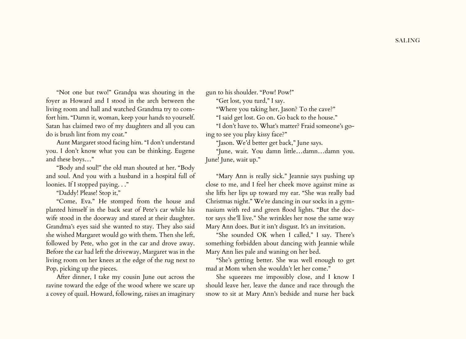"Not one but two!" Grandpa was shouting in the foyer as Howard and I stood in the arch between the living room and hall and watched Grandma try to comfort him. "Damn it, woman, keep your hands to yourself. Satan has claimed two of my daughters and all you can do is brush lint from my coat."

Aunt Margaret stood facing him. "I don't understand you. I don't know what you can be thinking. Eugene and these boys…"

"Body and soul!" the old man shouted at her. "Body and soul. And you with a husband in a hospital full of loonies. If I stopped paying. . ."

"Daddy! Please! Stop it,"

"Come, Eva." He stomped from the house and planted himself in the back seat of Pete's car while his wife stood in the doorway and stared at their daughter. Grandma's eyes said she wanted to stay. They also said she wished Margaret would go with them. Then she left, followed by Pete, who got in the car and drove away. Before the car had left the driveway, Margaret was in the living room on her knees at the edge of the rug next to Pop, picking up the pieces.

After dinner, I take my cousin June out across the ravine toward the edge of the wood where we scare up a covey of quail. Howard, following, raises an imaginary gun to his shoulder. "Pow! Pow!"

"Get lost, you turd," I say.

"Where you taking her, Jason? To the cave?"

"I said get lost. Go on. Go back to the house."

"I don't have to. What's matter? Fraid someone's going to see you play kissy face?"

"Jason. We'd better get back," June says.

"June, wait. You damn little…damn…damn you. June! June, wait up."

"Mary Ann is really sick." Jeannie says pushing up close to me, and I feel her cheek move against mine as she lifts her lips up toward my ear. "She was really bad Christmas night." We're dancing in our socks in a gymnasium with red and green flood lights. "But the doctor says she'll live." She wrinkles her nose the same way Mary Ann does. But it isn't disgust. It's an invitation.

"She sounded OK when I called," I say. There's something forbidden about dancing with Jeannie while Mary Ann lies pale and waning on her bed.

"She's getting better. She was well enough to get mad at Mom when she wouldn't let her come."

She squeezes me impossibly close, and I know I should leave her, leave the dance and race through the snow to sit at Mary Ann's bedside and nurse her back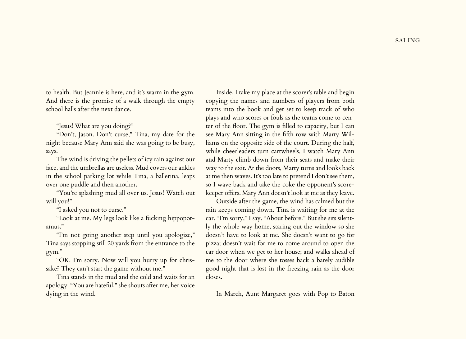to health. But Jeannie is here, and it's warm in the gym. And there is the promise of a walk through the empty school halls after the next dance.

"Jesus! What are you doing?"

"Don't, Jason. Don't curse," Tina, my date for the night because Mary Ann said she was going to be busy, says.

The wind is driving the pellets of icy rain against our face, and the umbrellas are useless. Mud covers our ankles in the school parking lot while Tina, a ballerina, leaps over one puddle and then another.

"You're splashing mud all over us. Jesus! Watch out will you!"

"I asked you not to curse."

"Look at me. My legs look like a fucking hippopotamus."

"I'm not going another step until you apologize," Tina says stopping still 20 yards from the entrance to the gym."

"OK. I'm sorry. Now will you hurry up for chrissake? They can't start the game without me."

Tina stands in the mud and the cold and waits for an apology. "You are hateful," she shouts after me, her voice dying in the wind.

Inside, I take my place at the scorer's table and begin copying the names and numbers of players from both teams into the book and get set to keep track of who plays and who scores or fouls as the teams come to center of the floor. The gym is filled to capacity, but I can see Mary Ann sitting in the fifth row with Marty Williams on the opposite side of the court. During the half, while cheerleaders turn cartwheels, I watch Mary Ann and Marty climb down from their seats and make their way to the exit. At the doors, Marty turns and looks back at me then waves. It's too late to pretend I don't see them, so I wave back and take the coke the opponent's scorekeeper offers. Mary Ann doesn't look at me as they leave.

Outside after the game, the wind has calmed but the rain keeps coming down. Tina is waiting for me at the car. "I'm sorry," I say. "About before." But she sits silently the whole way home, staring out the window so she doesn't have to look at me. She doesn't want to go for pizza; doesn't wait for me to come around to open the car door when we get to her house; and walks ahead of me to the door where she tosses back a barely audible good night that is lost in the freezing rain as the door closes.

In March, Aunt Margaret goes with Pop to Baton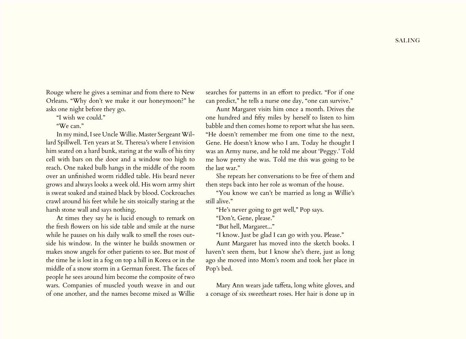Rouge where he gives a seminar and from there to New Orleans. "Why don't we make it our honeymoon?" he asks one night before they go.

"I wish we could."

"We can."

In my mind, I see Uncle Willie. Master Sergeant Willard Spillwell. Ten years at St. Theresa's where I envision him seated on a hard bunk, staring at the walls of his tiny cell with bars on the door and a window too high to reach. One naked bulb hangs in the middle of the room over an unfinished worm riddled table. His beard never grows and always looks a week old. His worn army shirt is sweat soaked and stained black by blood. Cockroaches crawl around his feet while he sits stoically staring at the harsh stone wall and says nothing.

At times they say he is lucid enough to remark on the fresh flowers on his side table and smile at the nurse while he pauses on his daily walk to smell the roses outside his window. In the winter he builds snowmen or makes snow angels for other patients to see. But most of the time he is lost in a fog on top a hill in Korea or in the middle of a snow storm in a German forest. The faces of people he sees around him become the composite of two wars. Companies of muscled youth weave in and out of one another, and the names become mixed as Willie

searches for patterns in an effort to predict. "For if one can predict," he tells a nurse one day, "one can survive."

Aunt Margaret visits him once a month. Drives the one hundred and fifty miles by herself to listen to him babble and then comes home to report what she has seen. "He doesn't remember me from one time to the next, Gene. He doesn't know who I am. Today he thought I was an Army nurse, and he told me about 'Peggy.' Told me how pretty she was. Told me this was going to be the last war."

She repeats her conversations to be free of them and then steps back into her role as woman of the house.

"You know we can't be married as long as Willie's still alive."

"He's never going to get well," Pop says.

"Don't, Gene, please."

"But hell, Margaret..."

"I know. Just be glad I can go with you. Please."

Aunt Margaret has moved into the sketch books. I haven't seen them, but I know she's there, just as long ago she moved into Mom's room and took her place in Pop's bed.

Mary Ann wears jade taffeta, long white gloves, and a corsage of six sweetheart roses. Her hair is done up in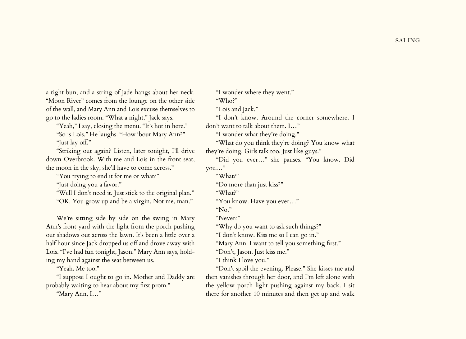a tight bun, and a string of jade hangs about her neck. "Moon River" comes from the lounge on the other side of the wall, and Mary Ann and Lois excuse themselves to go to the ladies room. "What a night," Jack says.

"Yeah," I say, closing the menu. "It's hot in here." "So is Lois." He laughs. "How 'bout Mary Ann?" "Just lay off."

"Striking out again? Listen, later tonight, I'll drive down Overbrook. With me and Lois in the front seat, the moon in the sky, she'll have to come across."

"You trying to end it for me or what?"

"Just doing you a favor."

"Well I don't need it. Just stick to the original plan." "OK. You grow up and be a virgin. Not me, man."

We're sitting side by side on the swing in Mary Ann's front yard with the light from the porch pushing our shadows out across the lawn. It's been a little over a half hour since Jack dropped us off and drove away with Lois. "I've had fun tonight, Jason." Mary Ann says, holding my hand against the seat between us.

"Yeah. Me too."

"I suppose I ought to go in. Mother and Daddy are probably waiting to hear about my first prom."

"Mary Ann, I…"

"I wonder where they went." "Who?" "Lois and Jack." "I don't know. Around the corner somewhere. I don't want to talk about them. I…" "I wonder what they're doing." "What do you think they're doing? You know what they're doing. Girls talk too. Just like guys." "Did you ever…" she pauses. "You know. Did you…" "What?" "Do more than just kiss?" "What?" "You know. Have you ever…" "No." "Never?" "Why do you want to ask such things?" "I don't know. Kiss me so I can go in." "Mary Ann. I want to tell you something first." "Don't, Jason. Just kiss me."

"I think I love you."

"Don't spoil the evening. Please." She kisses me and then vanishes through her door, and I'm left alone with the yellow porch light pushing against my back. I sit there for another 10 minutes and then get up and walk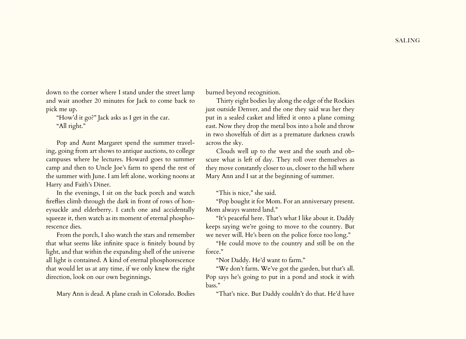down to the corner where I stand under the street lamp and wait another 20 minutes for Jack to come back to pick me up.

"How'd it go?" Jack asks as I get in the car. "All right."

Pop and Aunt Margaret spend the summer traveling, going from art shows to antique auctions, to college campuses where he lectures. Howard goes to summer camp and then to Uncle Joe's farm to spend the rest of the summer with June. I am left alone, working noons at Harry and Faith's Diner.

In the evenings, I sit on the back porch and watch fireflies climb through the dark in front of rows of honeysuckle and elderberry. I catch one and accidentally squeeze it, then watch as its moment of eternal phosphorescence dies.

From the porch, I also watch the stars and remember that what seems like infinite space is finitely bound by light, and that within the expanding shell of the universe all light is contained. A kind of eternal phosphorescence that would let us at any time, if we only knew the right direction, look on our own beginnings.

Mary Ann is dead. A plane crash in Colorado. Bodies

burned beyond recognition.

Thirty eight bodies lay along the edge of the Rockies just outside Denver, and the one they said was her they put in a sealed casket and lifted it onto a plane coming east. Now they drop the metal box into a hole and throw in two shovelfuls of dirt as a premature darkness crawls across the sky.

Clouds well up to the west and the south and obscure what is left of day. They roll over themselves as they move constantly closer to us, closer to the hill where Mary Ann and I sat at the beginning of summer.

"This is nice," she said.

"Pop bought it for Mom. For an anniversary present. Mom always wanted land."

"It's peaceful here. That's what I like about it. Daddy keeps saying we're going to move to the country. But we never will. He's been on the police force too long."

"He could move to the country and still be on the force."

"Not Daddy. He'd want to farm."

"We don't farm. We've got the garden, but that's all. Pop says he's going to put in a pond and stock it with bass."

"That's nice. But Daddy couldn't do that. He'd have